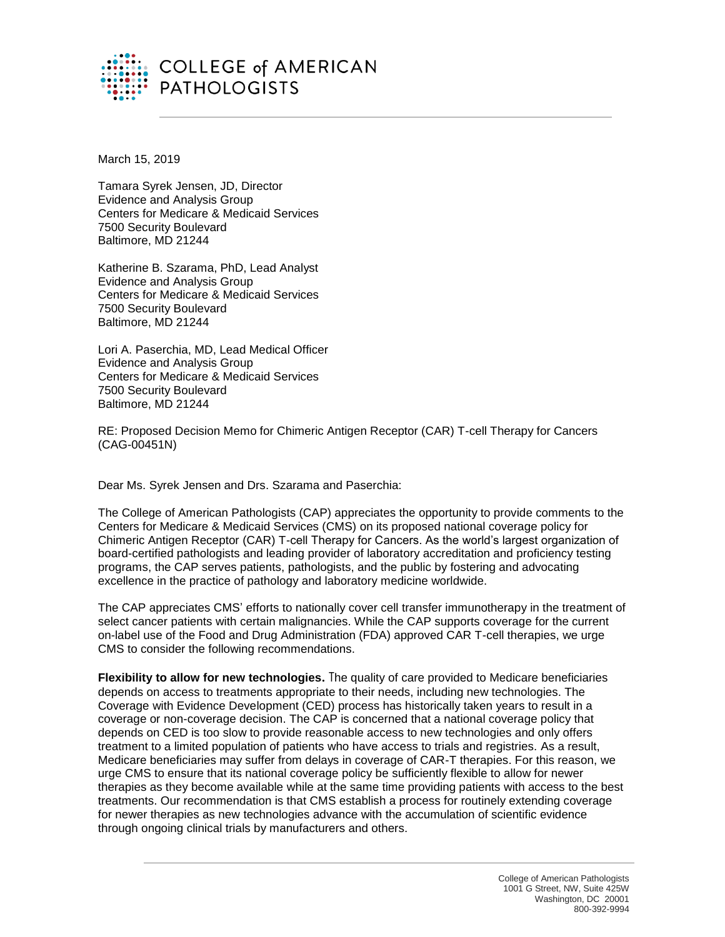

March 15, 2019

Tamara Syrek Jensen, JD, Director Evidence and Analysis Group Centers for Medicare & Medicaid Services 7500 Security Boulevard Baltimore, MD 21244

Katherine B. Szarama, PhD, Lead Analyst Evidence and Analysis Group Centers for Medicare & Medicaid Services 7500 Security Boulevard Baltimore, MD 21244

Lori A. Paserchia, MD, Lead Medical Officer Evidence and Analysis Group Centers for Medicare & Medicaid Services 7500 Security Boulevard Baltimore, MD 21244

RE: Proposed Decision Memo for Chimeric Antigen Receptor (CAR) T-cell Therapy for Cancers (CAG-00451N)

Dear Ms. Syrek Jensen and Drs. Szarama and Paserchia:

The College of American Pathologists (CAP) appreciates the opportunity to provide comments to the Centers for Medicare & Medicaid Services (CMS) on its proposed national coverage policy for Chimeric Antigen Receptor (CAR) T-cell Therapy for Cancers. As the world's largest organization of board-certified pathologists and leading provider of laboratory accreditation and proficiency testing programs, the CAP serves patients, pathologists, and the public by fostering and advocating excellence in the practice of pathology and laboratory medicine worldwide.

The CAP appreciates CMS' efforts to nationally cover cell transfer immunotherapy in the treatment of select cancer patients with certain malignancies. While the CAP supports coverage for the current on-label use of the Food and Drug Administration (FDA) approved CAR T-cell therapies, we urge CMS to consider the following recommendations.

**Flexibility to allow for new technologies.** The quality of care provided to Medicare beneficiaries depends on access to treatments appropriate to their needs, including new technologies. The Coverage with Evidence Development (CED) process has historically taken years to result in a coverage or non-coverage decision. The CAP is concerned that a national coverage policy that depends on CED is too slow to provide reasonable access to new technologies and only offers treatment to a limited population of patients who have access to trials and registries. As a result, Medicare beneficiaries may suffer from delays in coverage of CAR-T therapies. For this reason, we urge CMS to ensure that its national coverage policy be sufficiently flexible to allow for newer therapies as they become available while at the same time providing patients with access to the best treatments. Our recommendation is that CMS establish a process for routinely extending coverage for newer therapies as new technologies advance with the accumulation of scientific evidence through ongoing clinical trials by manufacturers and others.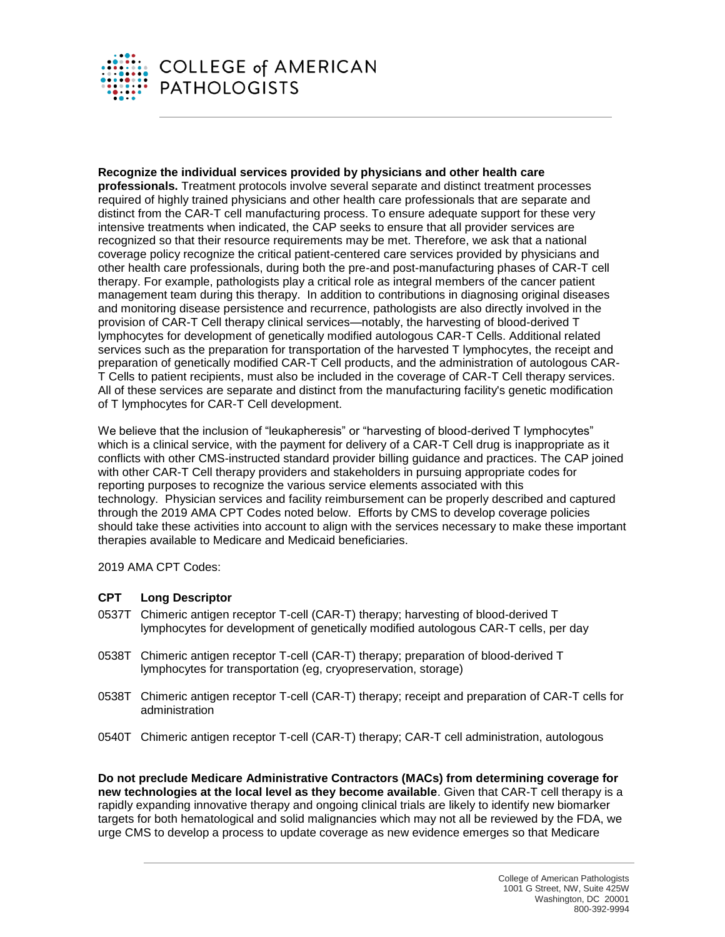

**Recognize the individual services provided by physicians and other health care professionals.** Treatment protocols involve several separate and distinct treatment processes required of highly trained physicians and other health care professionals that are separate and distinct from the CAR-T cell manufacturing process. To ensure adequate support for these very intensive treatments when indicated, the CAP seeks to ensure that all provider services are recognized so that their resource requirements may be met. Therefore, we ask that a national coverage policy recognize the critical patient-centered care services provided by physicians and other health care professionals, during both the pre-and post-manufacturing phases of CAR-T cell therapy. For example, pathologists play a critical role as integral members of the cancer patient management team during this therapy. In addition to contributions in diagnosing original diseases and monitoring disease persistence and recurrence, pathologists are also directly involved in the provision of CAR-T Cell therapy clinical services—notably, the harvesting of blood-derived T lymphocytes for development of genetically modified autologous CAR-T Cells. Additional related services such as the preparation for transportation of the harvested T lymphocytes, the receipt and preparation of genetically modified CAR-T Cell products, and the administration of autologous CAR-T Cells to patient recipients, must also be included in the coverage of CAR-T Cell therapy services. All of these services are separate and distinct from the manufacturing facility's genetic modification of T lymphocytes for CAR-T Cell development.

We believe that the inclusion of "leukapheresis" or "harvesting of blood-derived T lymphocytes" which is a clinical service, with the payment for delivery of a CAR-T Cell drug is inappropriate as it conflicts with other CMS-instructed standard provider billing guidance and practices. The CAP joined with other CAR-T Cell therapy providers and stakeholders in pursuing appropriate codes for reporting purposes to recognize the various service elements associated with this technology. Physician services and facility reimbursement can be properly described and captured through the 2019 AMA CPT Codes noted below. Efforts by CMS to develop coverage policies should take these activities into account to align with the services necessary to make these important therapies available to Medicare and Medicaid beneficiaries.

2019 AMA CPT Codes:

## **CPT Long Descriptor**

- 0537T Chimeric antigen receptor T-cell (CAR-T) therapy; harvesting of blood-derived T lymphocytes for development of genetically modified autologous CAR-T cells, per day
- 0538T Chimeric antigen receptor T-cell (CAR-T) therapy; preparation of blood-derived T lymphocytes for transportation (eg, cryopreservation, storage)
- 0538T Chimeric antigen receptor T-cell (CAR-T) therapy; receipt and preparation of CAR-T cells for administration
- 0540T Chimeric antigen receptor T-cell (CAR-T) therapy; CAR-T cell administration, autologous

**Do not preclude Medicare Administrative Contractors (MACs) from determining coverage for new technologies at the local level as they become available**. Given that CAR-T cell therapy is a rapidly expanding innovative therapy and ongoing clinical trials are likely to identify new biomarker targets for both hematological and solid malignancies which may not all be reviewed by the FDA, we urge CMS to develop a process to update coverage as new evidence emerges so that Medicare